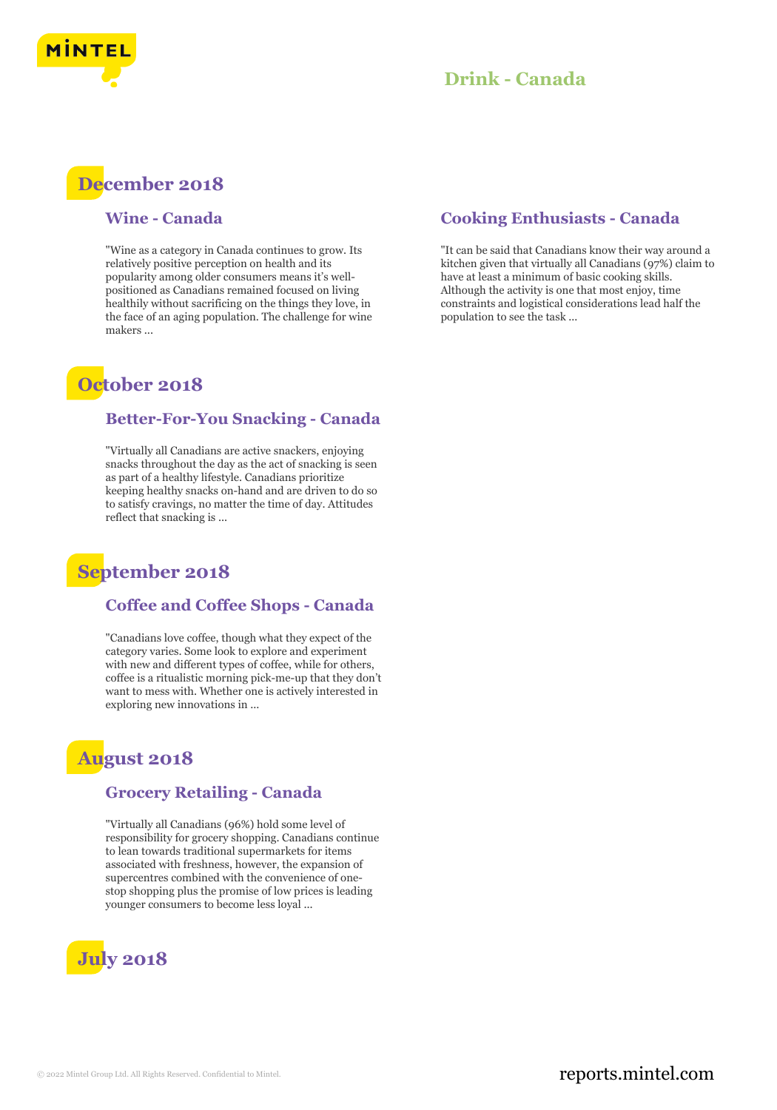

### **Drink - Canada**

# **December 2018**

#### **Wine - Canada**

"Wine as a category in Canada continues to grow. Its relatively positive perception on health and its popularity among older consumers means it's wellpositioned as Canadians remained focused on living healthily without sacrificing on the things they love, in the face of an aging population. The challenge for wine makers ...

## **October 2018**

#### **Better-For-You Snacking - Canada**

"Virtually all Canadians are active snackers, enjoying snacks throughout the day as the act of snacking is seen as part of a healthy lifestyle. Canadians prioritize keeping healthy snacks on-hand and are driven to do so to satisfy cravings, no matter the time of day. Attitudes reflect that snacking is ...

## **September 2018**

### **Coffee and Coffee Shops - Canada**

"Canadians love coffee, though what they expect of the category varies. Some look to explore and experiment with new and different types of coffee, while for others, coffee is a ritualistic morning pick-me-up that they don't want to mess with. Whether one is actively interested in exploring new innovations in ...

### **August 2018**

### **Grocery Retailing - Canada**

"Virtually all Canadians (96%) hold some level of responsibility for grocery shopping. Canadians continue to lean towards traditional supermarkets for items associated with freshness, however, the expansion of supercentres combined with the convenience of onestop shopping plus the promise of low prices is leading younger consumers to become less loyal ...



### **Cooking Enthusiasts - Canada**

"It can be said that Canadians know their way around a kitchen given that virtually all Canadians (97%) claim to have at least a minimum of basic cooking skills. Although the activity is one that most enjoy, time constraints and logistical considerations lead half the population to see the task ...